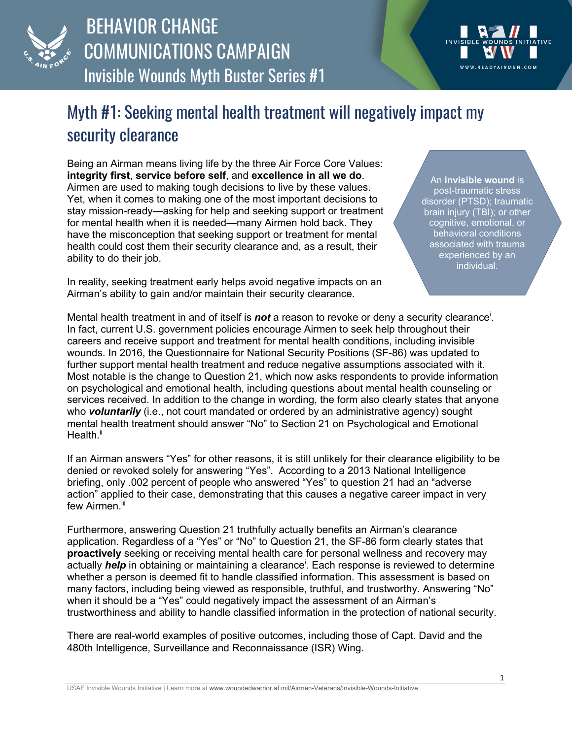

## BEHAVIOR CHANGE COMMUNICATIONS CAMPAIGN Invisible Wounds Myth Buster Series #1

## Myth #1: Seeking mental health treatment will negatively impact my security clearance

Being an Airman means living life by the three Air Force Core Values: **integrity first**, **service before self**, and **excellence in all we do**. Airmen are used to making tough decisions to live by these values. Yet, when it comes to making one of the most important decisions to stay mission-ready—asking for help and seeking support or treatment for mental health when it is needed—many Airmen hold back. They have the misconception that seeking support or treatment for mental health could cost them their security clearance and, as a result, their ability to do their job.

In reality, seeking treatment early helps avoid negative impacts on an Airman's ability to gain and/or maintain their security clearance.

An **invisible wound** is post-traumatic stress disorder (PTSD); traumatic brain injury (TBI); or other cognitive, emotional, or behavioral conditions associated with trauma experienced by an individual.

Mental health treatment in and of itself is **not** a reason to revoke or deny a security clearance<sup>i</sup>. In fact, current U.S. government policies encourage Airmen to seek help throughout their careers and receive support and treatment for mental health conditions, including invisible wounds. In 2016, the Questionnaire for National Security Positions (SF-86) was updated to further support mental health treatment and reduce negative assumptions associated with it. Most notable is the change to Question 21, which now asks respondents to provide information on psychological and emotional health, including questions about mental health counseling or services received. In addition to the change in wording, the form also clearly states that anyone who **voluntarily** (i.e., not court mandated or ordered by an administrative agency) sought mental health treatment should answer "No" to Section 21 on Psychological and Emotional Health.<sup>ii</sup>

If an Airman answers "Yes" for other reasons, it is still unlikely for their clearance eligibility to be denied or revoked solely for answering "Yes". According to a 2013 National Intelligence briefing, only .002 percent of people who answered "Yes" to question 21 had an "adverse action" applied to their case, demonstrating that this causes a negative career impact in very few Airmen.<sup>iii</sup>

Furthermore, answering Question 21 truthfully actually benefits an Airman's clearance application. Regardless of a "Yes" or "No" to Question 21, the SF-86 form clearly states that **proactively** seeking or receiving mental health care for personal wellness and recovery may actually *help* in obtaining or maintaining a clearance<sup>i</sup>. Each response is reviewed to determine whether a person is deemed fit to handle classified information. This assessment is based on many factors, including being viewed as responsible, truthful, and trustworthy. Answering "No" when it should be a "Yes" could negatively impact the assessment of an Airman's trustworthiness and ability to handle classified information in the protection of national security.

There are real-world examples of positive outcomes, including those of Capt. David and the 480th Intelligence, Surveillance and Reconnaissance (ISR) Wing.